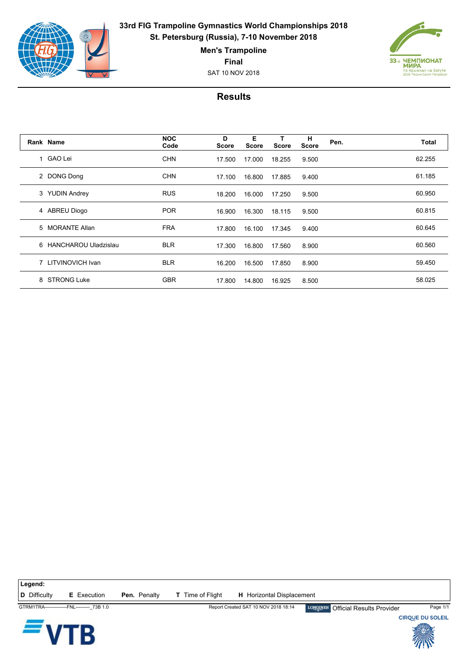

**33rd FIG Trampoline Gymnastics World Championships 2018 St. Petersburg (Russia), 7-10 November 2018**

**Men's Trampoline**

**Final**

SAT 10 NOV 2018



## **Results**

|   | Rank Name            | <b>NOC</b><br>Code | D<br><b>Score</b> | Е<br><b>Score</b> | <b>Score</b> | н<br><b>Score</b> | Pen. | Total  |
|---|----------------------|--------------------|-------------------|-------------------|--------------|-------------------|------|--------|
|   | 1 GAO Lei            | <b>CHN</b>         | 17.500            | 17.000            | 18.255       | 9.500             |      | 62.255 |
|   | 2 DONG Dong          | <b>CHN</b>         | 17.100            | 16.800            | 17.885       | 9.400             |      | 61.185 |
|   | 3 YUDIN Andrey       | <b>RUS</b>         | 18.200            | 16.000            | 17.250       | 9.500             |      | 60.950 |
|   | 4 ABREU Diogo        | <b>POR</b>         | 16.900            | 16.300            | 18.115       | 9.500             |      | 60.815 |
|   | 5 MORANTE Allan      | <b>FRA</b>         | 17.800            | 16.100            | 17.345       | 9.400             |      | 60.645 |
| 6 | HANCHAROU Uladzislau | <b>BLR</b>         | 17.300            | 16.800            | 17.560       | 8.900             |      | 60.560 |
|   | 7 LITVINOVICH Ivan   | <b>BLR</b>         | 16.200            | 16.500            | 17.850       | 8.900             |      | 59.450 |
| 8 | <b>STRONG Luke</b>   | <b>GBR</b>         | 17.800            | 14.800            | 16.925       | 8.500             |      | 58.025 |

**D** Difficulty **E** Execution **Pen.** Penalty **T** Time of Flight **H** Horizontal Displacement

**Legend:**

Ŗ



GTRM1TRA--------------FNL---------\_73B 1.0 Report Created SAT 10 NOV 2018 18:14 Official Results Provider Page 1/1